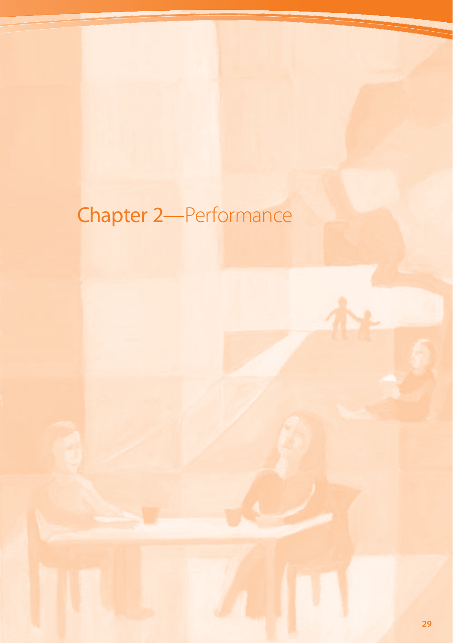# Chapter 2—Performance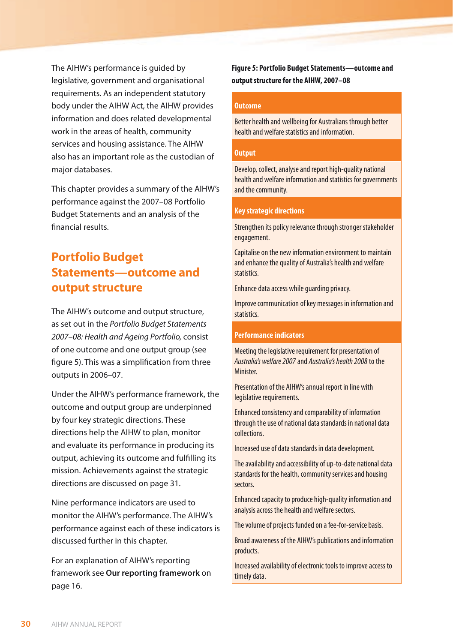The AIHW's performance is guided by legislative, government and organisational requirements. As an independent statutory body under the AIHW Act, the AIHW provides information and does related developmental work in the areas of health, community services and housing assistance. The AIHW also has an important role as the custodian of major databases.

This chapter provides a summary of the AIHW's performance against the 2007–08 Portfolio Budget Statements and an analysis of the financial results.

# **Portfolio Budget Statements—outcome and output structure**

The AIHW's outcome and output structure, as set out in the *Portfolio Budget Statements 2007–08: Health and Ageing Portfolio,* consist of one outcome and one output group (see figure 5). This was a simplification from three outputs in 2006–07.

Under the AIHW's performance framework, the outcome and output group are underpinned by four key strategic directions. These directions help the AIHW to plan, monitor and evaluate its performance in producing its output, achieving its outcome and fulfilling its mission. Achievements against the strategic directions are discussed on page 31.

Nine performance indicators are used to monitor the AIHW's performance. The AIHW's performance against each of these indicators is discussed further in this chapter.

For an explanation of AIHW's reporting framework see **Our reporting framework** on page 16.

**Figure 5: Portfolio Budget Statements—outcome and output structure for the AIHW, 2007–08**

#### **Outcome**

Better health and wellbeing for Australians through better health and welfare statistics and information.

#### **Output**

Develop, collect, analyse and report high-quality national health and welfare information and statistics for governments and the community.

#### **Key strategic directions**

Strengthen its policy relevance through stronger stakeholder engagement.

Capitalise on the new information environment to maintain and enhance the quality of Australia's health and welfare statistics.

Enhance data access while guarding privacy.

Improve communication of key messages in information and statistics.

#### **Performance indicators**

Meeting the legislative requirement for presentation of *Australia's welfare 2007*and *Australia's health 2008*to the Minister.

Presentation of the AIHW's annual report in line with legislative requirements.

Enhanced consistency and comparability of information through the use of national data standards in national data collections.

Increased use of data standards in data development.

The availability and accessibility of up-to-date national data standards for the health, community services and housing sectors.

Enhanced capacity to produce high-quality information and analysis across the health and welfare sectors.

The volume of projects funded on a fee-for-service basis.

Broad awareness of the AIHW's publications and information products.

Increased availability of electronic tools to improve access to timely data.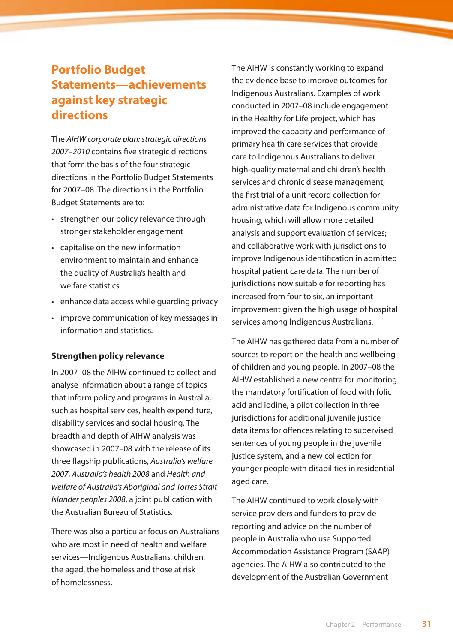# **Portfolio Budget Statements—achievements against key strategic directions**

The *AIHW corporate plan: strategic directions 2007–2010* contains five strategic directions that form the basis of the four strategic directions in the Portfolio Budget Statements for 2007–08. The directions in the Portfolio Budget Statements are to:

- strengthen our policy relevance through stronger stakeholder engagement
- • capitalise on the new information environment to maintain and enhance the quality of Australia's health and welfare statistics
- • enhance data access while guarding privacy
- • improve communication of key messages in information and statistics.

#### **Strengthen policy relevance**

In 2007–08 the AIHW continued to collect and analyse information about a range of topics that inform policy and programs in Australia, such as hospital services, health expenditure, disability services and social housing. The breadth and depth of AIHW analysis was showcased in 2007–08 with the release of its three flagship publications, *Australia's welfare 2007*, *Australia's health 2008* and *Health and welfare of Australia's Aboriginal and Torres Strait Islander peoples 2008*, a joint publication with the Australian Bureau of Statistics.

There was also a particular focus on Australians who are most in need of health and welfare services—Indigenous Australians, children, the aged, the homeless and those at risk of homelessness.

The AIHW is constantly working to expand the evidence base to improve outcomes for Indigenous Australians. Examples of work conducted in 2007–08 include engagement in the Healthy for Life project, which has improved the capacity and performance of primary health care services that provide care to Indigenous Australians to deliver high-quality maternal and children's health services and chronic disease management; the first trial of a unit record collection for administrative data for Indigenous community housing, which will allow more detailed analysis and support evaluation of services; and collaborative work with jurisdictions to improve Indigenous identification in admitted hospital patient care data. The number of jurisdictions now suitable for reporting has increased from four to six, an important improvement given the high usage of hospital services among Indigenous Australians.

The AIHW has gathered data from a number of sources to report on the health and wellbeing of children and young people. In 2007–08 the AIHW established a new centre for monitoring the mandatory fortification of food with folic acid and iodine, a pilot collection in three jurisdictions for additional juvenile justice data items for offences relating to supervised sentences of young people in the juvenile justice system, and a new collection for younger people with disabilities in residential aged care.

The AIHW continued to work closely with service providers and funders to provide reporting and advice on the number of people in Australia who use Supported Accommodation Assistance Program (SAAP) agencies. The AIHW also contributed to the development of the Australian Government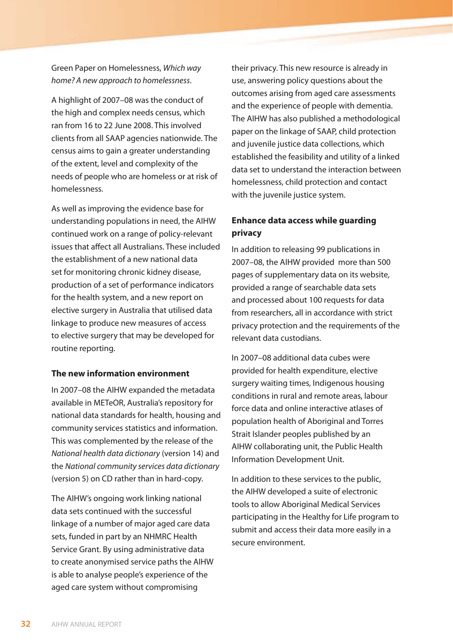Green Paper on Homelessness, *Which way home? A new approach to homelessness*.

A highlight of 2007–08 was the conduct of the high and complex needs census, which ran from 16 to 22 June 2008. This involved clients from all SAAP agencies nationwide. The census aims to gain a greater understanding of the extent, level and complexity of the needs of people who are homeless or at risk of homelessness.

As well as improving the evidence base for understanding populations in need, the AIHW continued work on a range of policy-relevant issues that affect all Australians. These included the establishment of a new national data set for monitoring chronic kidney disease, production of a set of performance indicators for the health system, and a new report on elective surgery in Australia that utilised data linkage to produce new measures of access to elective surgery that may be developed for routine reporting.

#### **The new information environment**

In 2007–08 the AIHW expanded the metadata available in METeOR, Australia's repository for national data standards for health, housing and community services statistics and information. This was complemented by the release of the *[National health data dictionary](http://meteor.aihw.gov.au/content/index.phtml/itemId/372110)* (version 14) and the *[National community services data dictionary](http://meteor.aihw.gov.au/content/index.phtml/itemId/372112)* [\(version 5](http://meteor.aihw.gov.au/content/index.phtml/itemId/372112)) on CD rather than in hard-copy.

The AIHW's ongoing work linking national data sets continued with the successful linkage of a number of major aged care data sets, funded in part by an NHMRC Health Service Grant. By using administrative data to create anonymised service paths the AIHW is able to analyse people's experience of the aged care system without compromising

their privacy. This new resource is already in use, answering policy questions about the outcomes arising from aged care assessments and the experience of people with dementia. The AIHW has also published a methodological paper on the linkage of SAAP, child protection and juvenile justice data collections, which established the feasibility and utility of a linked data set to understand the interaction between homelessness, child protection and contact with the juvenile justice system.

#### **Enhance data access while guarding privacy**

In addition to releasing 99 publications in 2007–08, the AIHW provided more than 500 pages of supplementary data on its website, provided a range of searchable data sets and processed about 100 requests for data from researchers, all in accordance with strict privacy protection and the requirements of the relevant data custodians.

In 2007–08 additional data cubes were provided for health expenditure, elective surgery waiting times, Indigenous housing conditions in rural and remote areas, labour force data and online interactive atlases of population health of Aboriginal and Torres Strait Islander peoples published by an AIHW collaborating unit, the Public Health Information Development Unit.

In addition to these services to the public, the AIHW developed a suite of electronic tools to allow Aboriginal Medical Services participating in the Healthy for Life program to submit and access their data more easily in a secure environment.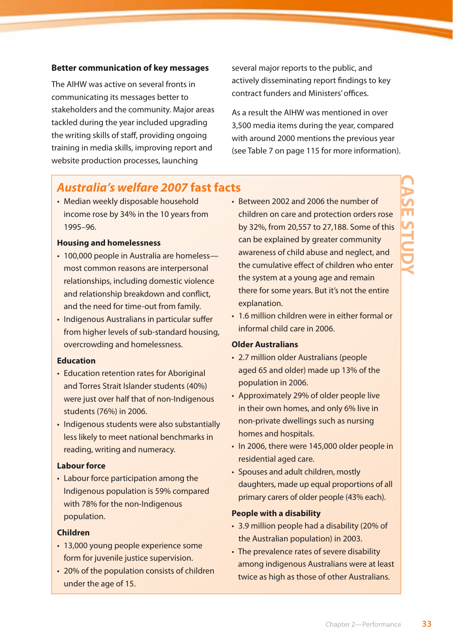#### **Better communication of key messages**

The AIHW was active on several fronts in communicating its messages better to stakeholders and the community. Major areas tackled during the year included upgrading the writing skills of staff, providing ongoing training in media skills, improving report and website production processes, launching

several major reports to the public, and actively disseminating report findings to key contract funders and Ministers' offices.

As a result the AIHW was mentioned in over 3,500 media items during the year, compared with around 2000 mentions the previous year (see Table 7 on page 115 for more information).

## *Australia's welfare 2007* **fast facts**

• Median weekly disposable household income rose by 34% in the 10 years from 1995–96.

#### **Housing and homelessness**

- 100,000 people in Australia are homeless most common reasons are interpersonal relationships, including domestic violence and relationship breakdown and conflict, and the need for time-out from family.
- Indigenous Australians in particular suffer from higher levels of sub-standard housing, overcrowding and homelessness.

#### **Education**

- Education retention rates for Aboriginal and Torres Strait Islander students (40%) were just over half that of non-Indigenous students (76%) in 2006.
- Indigenous students were also substantially less likely to meet national benchmarks in reading, writing and numeracy.

#### **Labour force**

• Labour force participation among the Indigenous population is 59% compared with 78% for the non-Indigenous population.

#### **Children**

- 13,000 young people experience some form for juvenile justice supervision.
- 20% of the population consists of children under the age of 15.
- Between 2002 and 2006 the number of children on care and protection orders rose by 32%, from 20,557 to 27,188. Some of this can be explained by greater community awareness of child abuse and neglect, and the cumulative effect of children who enter the system at a young age and remain there for some years. But it's not the entire explanation.
- 1.6 million children were in either formal or informal child care in 2006.

#### **Older Australians**

- 2.7 million older Australians (people aged 65 and older) made up 13% of the population in 2006.
- Approximately 29% of older people live in their own homes, and only 6% live in non-private dwellings such as nursing homes and hospitals.
- In 2006, there were 145,000 older people in residential aged care.
- Spouses and adult children, mostly daughters, made up equal proportions of all primary carers of older people (43% each).

#### **People with a disability**

- 3.9 million people had a disability (20% of the Australian population) in 2003.
- The prevalence rates of severe disability among indigenous Australians were at least twice as high as those of other Australians.

# **CASE STUDY**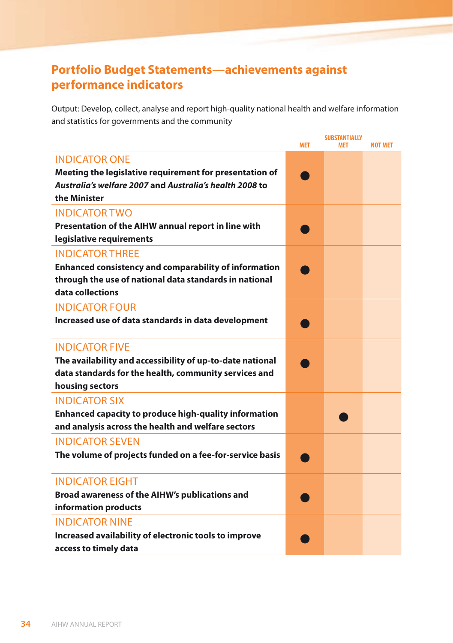# **Portfolio Budget Statements—achievements against performance indicators**

Output: Develop, collect, analyse and report high-quality national health and welfare information and statistics for governments and the community

|                                                                            | <b>MET</b> | <b>SUBSTANTIALLY</b><br><b>MFT</b> | <b>NOT MET</b> |
|----------------------------------------------------------------------------|------------|------------------------------------|----------------|
| <b>INDICATOR ONE</b>                                                       |            |                                    |                |
| Meeting the legislative requirement for presentation of                    |            |                                    |                |
| Australia's welfare 2007 and Australia's health 2008 to                    |            |                                    |                |
| the Minister                                                               |            |                                    |                |
| <b>INDICATOR TWO</b>                                                       |            |                                    |                |
| Presentation of the AIHW annual report in line with                        |            |                                    |                |
| legislative requirements                                                   |            |                                    |                |
| <b>INDICATOR THREE</b>                                                     |            |                                    |                |
| <b>Enhanced consistency and comparability of information</b>               |            |                                    |                |
| through the use of national data standards in national<br>data collections |            |                                    |                |
| <b>INDICATOR FOUR</b>                                                      |            |                                    |                |
| Increased use of data standards in data development                        |            |                                    |                |
|                                                                            |            |                                    |                |
| <b>INDICATOR FIVE</b>                                                      |            |                                    |                |
| The availability and accessibility of up-to-date national                  |            |                                    |                |
| data standards for the health, community services and                      |            |                                    |                |
| housing sectors                                                            |            |                                    |                |
| <b>INDICATOR SIX</b>                                                       |            |                                    |                |
| <b>Enhanced capacity to produce high-quality information</b>               |            |                                    |                |
| and analysis across the health and welfare sectors                         |            |                                    |                |
| <b>INDICATOR SEVEN</b>                                                     |            |                                    |                |
| The volume of projects funded on a fee-for-service basis                   |            |                                    |                |
| <b>INDICATOR EIGHT</b>                                                     |            |                                    |                |
| Broad awareness of the AIHW's publications and                             |            |                                    |                |
| information products                                                       |            |                                    |                |
| <b>INDICATOR NINE</b>                                                      |            |                                    |                |
| Increased availability of electronic tools to improve                      |            |                                    |                |
| access to timely data                                                      |            |                                    |                |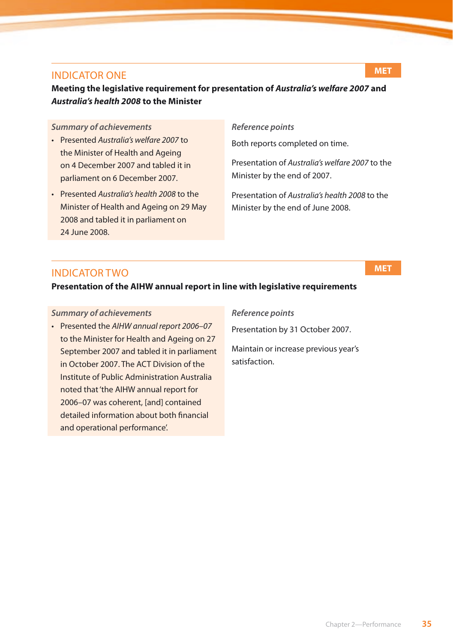#### Indicator One

#### **Meeting the legislative requirement for presentation of** *Australia's welfare 2007* **and**  *Australia's health 2008* **to the Minister**

#### *Summary of achievements*

- • Presented *Australia's welfare 2007* to the Minister of Health and Ageing on 4 December 2007 and tabled it in parliament on 6 December 2007.
- • Presented *Australia's health 2008* to the Minister of Health and Ageing on 29 May 2008 and tabled it in parliament on 24 June 2008.

#### *Reference points*

Both reports completed on time.

Presentation of *Australia's welfare 2007* to the Minister by the end of 2007.

Presentation of *Australia's health 2008* to the Minister by the end of June 2008.

#### Indicator Two

**Presentation of the AIHW annual report in line with legislative requirements**

#### *Summary of achievements*

• Presented the *AIHW annual report 2006–07* to the Minister for Health and Ageing on 27 September 2007 and tabled it in parliament in October 2007. The ACT Division of the Institute of Public Administration Australia noted that 'the AIHW annual report for 2006–07 was coherent, [and] contained detailed information about both financial and operational performance'.

#### *Reference points*

Presentation by 31 October 2007.

Maintain or increase previous year's satisfaction.

### **MET**

**MET**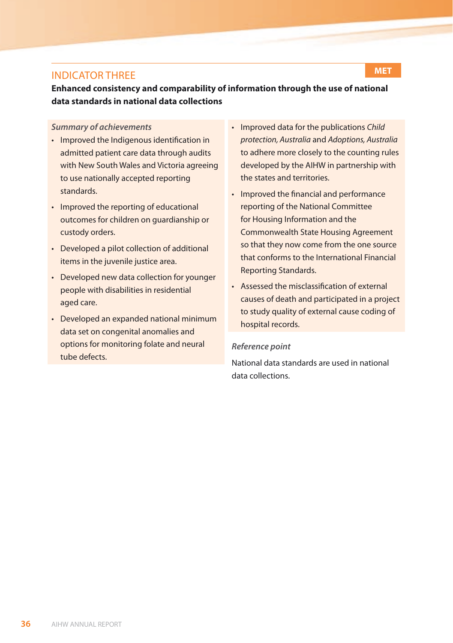#### Indicator Three

**Enhanced consistency and comparability of information through the use of national data standards in national data collections**

#### *Summary of achievements*

- Improved the Indigenous identification in admitted patient care data through audits with New South Wales and Victoria agreeing to use nationally accepted reporting standards.
- Improved the reporting of educational outcomes for children on guardianship or custody orders.
- Developed a pilot collection of additional items in the juvenile justice area.
- Developed new data collection for younger people with disabilities in residential aged care.
- • Developed an expanded national minimum data set on congenital anomalies and options for monitoring folate and neural tube defects.

• Improved data for the publications *Child protection, Australia* and *Adoptions, Australia* to adhere more closely to the counting rules developed by the AIHW in partnership with the states and territories.

**MET**

- Improved the financial and performance reporting of the National Committee for Housing Information and the Commonwealth State Housing Agreement so that they now come from the one source that conforms to the International Financial Reporting Standards.
- • Assessed the misclassification of external causes of death and participated in a project to study quality of external cause coding of hospital records.

#### *Reference point*

National data standards are used in national data collections.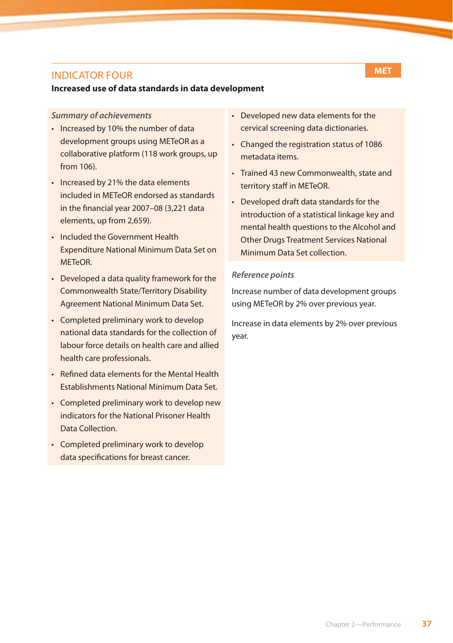#### Indicator Four

#### **Increased use of data standards in data development**

#### *Summary of achievements*

- Increased by 10% the number of data development groups using METeOR as a collaborative platform (118 work groups, up from 106).
- Increased by 21% the data elements included in METeOR endorsed as standards in the financial year 2007–08 (3,221 data elements, up from 2,659).
- • Included the Government Health Expenditure National Minimum Data Set on METeOR.
- • Developed a data quality framework for the Commonwealth State/Territory Disability Agreement National Minimum Data Set.
- Completed preliminary work to develop national data standards for the collection of labour force details on health care and allied health care professionals.
- • Refined data elements for the Mental Health Establishments National Minimum Data Set.
- Completed preliminary work to develop new indicators for the National Prisoner Health Data Collection.
- Completed preliminary work to develop data specifications for breast cancer.
- • Developed new data elements for the cervical screening data dictionaries.
- Changed the registration status of 1086 metadata items.
- Trained 43 new Commonwealth, state and territory staff in METeOR.
- • Developed draft data standards for the introduction of a statistical linkage key and mental health questions to the Alcohol and Other Drugs Treatment Services National Minimum Data Set collection.

#### *Reference points*

Increase number of data development groups using METeOR by 2% over previous year.

Increase in data elements by 2% over previous year.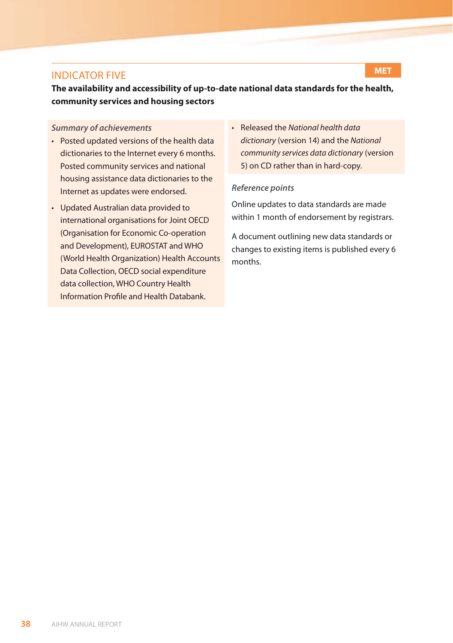#### Indicator Five

**The availability and accessibility of up-to-date national data standards for the health, community services and housing sectors**

#### *Summary of achievements*

- Posted updated versions of the health data dictionaries to the Internet every 6 months. Posted community services and national housing assistance data dictionaries to the Internet as updates were endorsed.
- • Updated Australian data provided to international organisations for Joint OECD (Organisation for Economic Co-operation and Development), EUROSTAT and WHO (World Health Organization) Health Accounts Data Collection, OECD social expenditure data collection, WHO Country Health Information Profile and Health Databank.
- • Released the *[National health data](http://meteor.aihw.gov.au/content/index.phtml/itemId/372110)  dictionary* [\(version 14\)](http://meteor.aihw.gov.au/content/index.phtml/itemId/372110) and the *[National](http://meteor.aihw.gov.au/content/index.phtml/itemId/372112)  [community services data dictionary](http://meteor.aihw.gov.au/content/index.phtml/itemId/372112)* (version [5](http://meteor.aihw.gov.au/content/index.phtml/itemId/372112)) on CD rather than in hard-copy.

#### *Reference points*

Online updates to data standards are made within 1 month of endorsement by registrars.

A document outlining new data standards or changes to existing items is published every 6 months.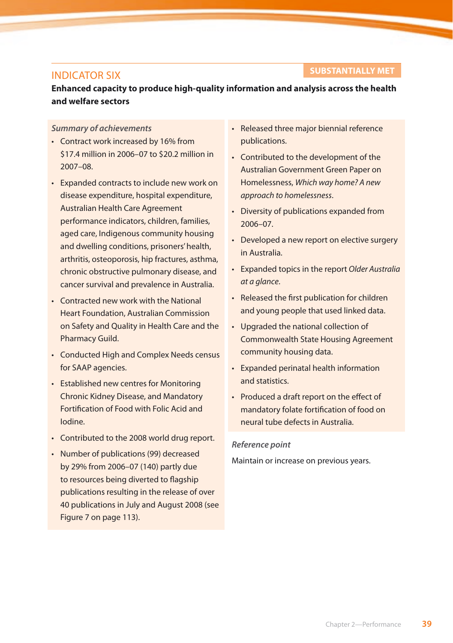#### Indicator Six

#### **SUBSTANTIALLY MET**

**Enhanced capacity to produce high-quality information and analysis across the health and welfare sectors**

#### *Summary of achievements*

- • Contract work increased by 16% from \$17.4 million in 2006–07 to \$20.2 million in 2007–08.
- Expanded contracts to include new work on disease expenditure, hospital expenditure, Australian Health Care Agreement performance indicators, children, families, aged care, Indigenous community housing and dwelling conditions, prisoners' health, arthritis, osteoporosis, hip fractures, asthma, chronic obstructive pulmonary disease, and cancer survival and prevalence in Australia.
- • Contracted new work with the National Heart Foundation, Australian Commission on Safety and Quality in Health Care and the Pharmacy Guild.
- Conducted High and Complex Needs census for SAAP agencies.
- Established new centres for Monitoring Chronic Kidney Disease, and Mandatory Fortification of Food with Folic Acid and Iodine.
- Contributed to the 2008 world drug report.
- • Number of publications (99) decreased by 29% from 2006–07 (140) partly due to resources being diverted to flagship publications resulting in the release of over 40 publications in July and August 2008 (see Figure 7 on page 113).
- • Released three major biennial reference publications.
- • Contributed to the development of the Australian Government Green Paper on Homelessness, *Which way home? A new approach to homelessness*.
- Diversity of publications expanded from 2006–07.
- Developed a new report on elective surgery in Australia.
- • Expanded topics in the report *Older Australia at a glance*.
- Released the first publication for children and young people that used linked data.
- • Upgraded the national collection of Commonwealth State Housing Agreement community housing data.
- • Expanded perinatal health information and statistics.
- Produced a draft report on the effect of mandatory folate fortification of food on neural tube defects in Australia.

#### *Reference point*

Maintain or increase on previous years.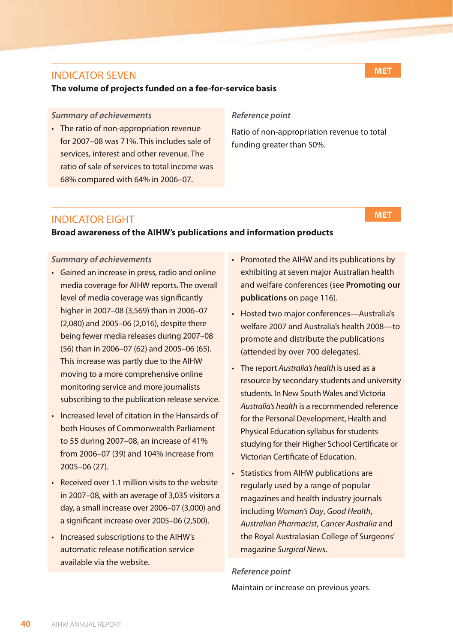#### Indicator Seven

#### **The volume of projects funded on a fee-for-service basis**

#### *Summary of achievements*

• The ratio of non-appropriation revenue for 2007–08 was 71%. This includes sale of services, interest and other revenue. The ratio of sale of services to total income was 68% compared with 64% in 2006–07.

#### *Reference point*

Ratio of non-appropriation revenue to total funding greater than 50%.

#### Indicator Eight

#### **Broad awareness of the AIHW's publications and information products**

#### *Summary of achievements*

- • Gained an increase in press, radio and online media coverage for AIHW reports. The overall level of media coverage was significantly higher in 2007–08 (3,569) than in 2006–07 (2,080) and 2005–06 (2,016), despite there being fewer media releases during 2007–08 (56) than in 2006–07 (62) and 2005–06 (65). This increase was partly due to the AIHW moving to a more comprehensive online monitoring service and more journalists subscribing to the publication release service.
- Increased level of citation in the Hansards of both Houses of Commonwealth Parliament to 55 during 2007–08, an increase of 41% from 2006–07 (39) and 104% increase from 2005–06 (27).
- $\cdot$  Received over 1.1 million visits to the website in 2007–08, with an average of 3,035 visitors a day, a small increase over 2006–07 (3,000) and a significant increase over 2005–06 (2,500).
- • Increased subscriptions to the AIHW's automatic release notification service available via the website.
- Promoted the AIHW and its publications by exhibiting at seven major Australian health and welfare conferences (see **Promoting our publications** on page 116).
- • Hosted two major conferences—Australia's welfare 2007 and Australia's health 2008—to promote and distribute the publications (attended by over 700 delegates).
- • The report *Australia's health* is used as a resource by secondary students and university students. In New South Wales and Victoria *Australia's health* is a recommended reference for the Personal Development, Health and Physical Education syllabus for students studying for their Higher School Certificate or Victorian Certificate of Education.
- • Statistics from AIHW publications are regularly used by a range of popular magazines and health industry journals including *Woman's Day*, *Good Health*, *Australian Pharmacist*, *Cancer Australia* and the Royal Australasian College of Surgeons' magazine *Surgical News*.

#### *Reference point*

Maintain or increase on previous years.

**MET**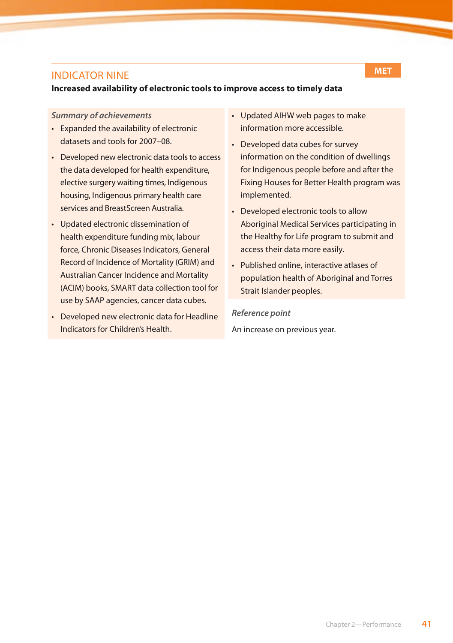#### Indicator Nine

#### **Increased availability of electronic tools to improve access to timely data**

#### *Summary of achievements*

- Expanded the availability of electronic datasets and tools for 2007–08.
- Developed new electronic data tools to access the data developed for health expenditure, elective surgery waiting times, Indigenous housing, Indigenous primary health care services and BreastScreen Australia.
- • Updated electronic dissemination of health expenditure funding mix, labour force, Chronic Diseases Indicators, General Record of Incidence of Mortality (GRIM) and Australian Cancer Incidence and Mortality (ACIM) books, SMART data collection tool for use by SAAP agencies, cancer data cubes.
- Developed new electronic data for Headline Indicators for Children's Health.
- • Updated AIHW web pages to make information more accessible.
- Developed data cubes for survey information on the condition of dwellings for Indigenous people before and after the Fixing Houses for Better Health program was implemented.
- Developed electronic tools to allow Aboriginal Medical Services participating in the Healthy for Life program to submit and access their data more easily.
- • Published online, interactive atlases of population health of Aboriginal and Torres Strait Islander peoples.

*Reference point* An increase on previous year.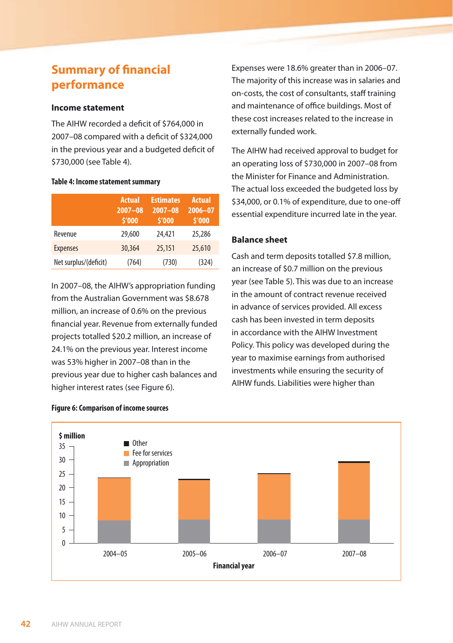# **Summary of financial performance**

#### **Income statement**

The AIHW recorded a deficit of \$764,000 in 2007–08 compared with a deficit of \$324,000 in the previous year and a budgeted deficit of \$730,000 (see Table 4).

#### **Table 4: Income statement summary**

|                       | <b>Actual</b><br>$2007 - 08$<br>\$'000 | <b>Estimates</b><br>$2007 - 08$<br>\$'000 | <b>Actual</b><br>$2006 - 07$<br>\$'000 |
|-----------------------|----------------------------------------|-------------------------------------------|----------------------------------------|
| Revenue               | 29,600                                 | 24,421                                    | 25,286                                 |
| <b>Expenses</b>       | 30,364                                 | 25,151                                    | 25,610                                 |
| Net surplus/(deficit) | (764)                                  | (730)                                     | (324)                                  |

In 2007–08, the AIHW's appropriation funding from the Australian Government was \$8.678 million, an increase of 0.6% on the previous financial year. Revenue from externally funded projects totalled \$20.2 million, an increase of 24.1% on the previous year. Interest income was 53% higher in 2007–08 than in the previous year due to higher cash balances and higher interest rates (see Figure 6).

Expenses were 18.6% greater than in 2006–07. The majority of this increase was in salaries and on-costs, the cost of consultants, staff training and maintenance of office buildings. Most of these cost increases related to the increase in externally funded work.

The AIHW had received approval to budget for an operating loss of \$730,000 in 2007–08 from the Minister for Finance and Administration. The actual loss exceeded the budgeted loss by \$34,000, or 0.1% of expenditure, due to one-off essential expenditure incurred late in the year.

#### **Balance sheet**

Cash and term deposits totalled \$7.8 million, an increase of \$0.7 million on the previous year (see Table 5). This was due to an increase in the amount of contract revenue received in advance of services provided. All excess cash has been invested in term deposits in accordance with the AIHW Investment Policy. This policy was developed during the year to maximise earnings from authorised investments while ensuring the security of AIHW funds. Liabilities were higher than



**Figure 6: Comparison of income sources**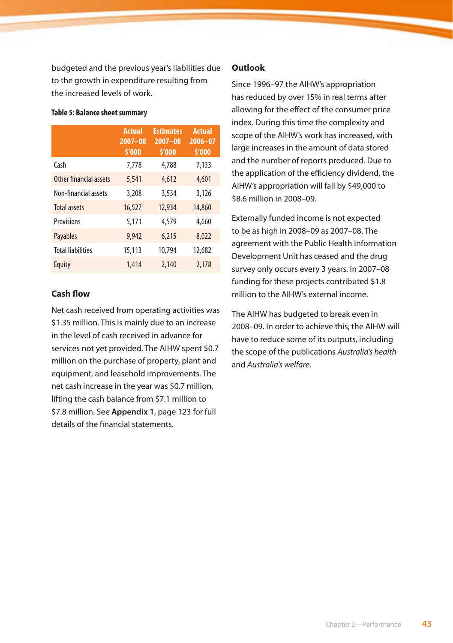budgeted and the previous year's liabilities due to the growth in expenditure resulting from the increased levels of work.

|                          | <b>Actual</b><br>$2007 - 08$<br>\$'000 | <b>Estimates</b><br>$2007 - 08$<br>\$'000 | <b>Actual</b><br>$2006 - 07$<br>\$'000 |
|--------------------------|----------------------------------------|-------------------------------------------|----------------------------------------|
| Cash                     | 7,778                                  | 4,788                                     | 7,133                                  |
| Other financial assets   | 5,541                                  | 4,612                                     | 4,601                                  |
| Non-financial assets     | 3,208                                  | 3,534                                     | 3,126                                  |
| <b>Total assets</b>      | 16,527                                 | 12,934                                    | 14,860                                 |
| <b>Provisions</b>        | 5.171                                  | 4,579                                     | 4,660                                  |
| <b>Payables</b>          | 9.942                                  | 6.215                                     | 8,022                                  |
| <b>Total liabilities</b> | 15,113                                 | 10,794                                    | 12,682                                 |
| Equity                   | 1,414                                  | 2,140                                     | 2,178                                  |

#### **Table 5: Balance sheet summary**

#### **Cash flow**

Net cash received from operating activities was \$1.35 million. This is mainly due to an increase in the level of cash received in advance for services not yet provided. The AIHW spent \$0.7 million on the purchase of property, plant and equipment, and leasehold improvements. The net cash increase in the year was \$0.7 million, lifting the cash balance from \$7.1 million to \$7.8 million. See **Appendix 1**, page 123 for full details of the financial statements.

#### **Outlook**

Since 1996–97 the AIHW's appropriation has reduced by over 15% in real terms after allowing for the effect of the consumer price index. During this time the complexity and scope of the AIHW's work has increased, with large increases in the amount of data stored and the number of reports produced. Due to the application of the efficiency dividend, the AIHW's appropriation will fall by \$49,000 to \$8.6 million in 2008–09.

Externally funded income is not expected to be as high in 2008–09 as 2007–08. The agreement with the Public Health Information Development Unit has ceased and the drug survey only occurs every 3 years. In 2007–08 funding for these projects contributed \$1.8 million to the AIHW's external income.

The AIHW has budgeted to break even in 2008–09. In order to achieve this, the AIHW will have to reduce some of its outputs, including the scope of the publications *Australia's health* and *Australia's welfare*.